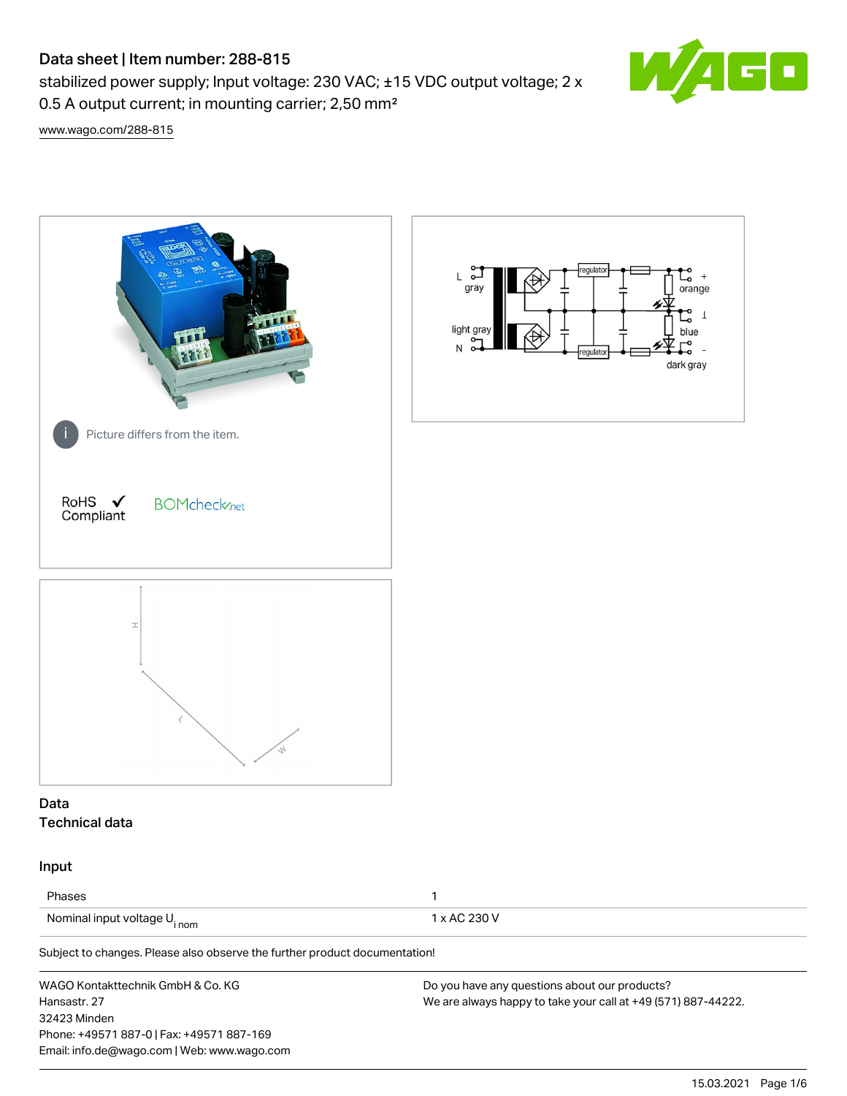# Data sheet | Item number: 288-815

stabilized power supply; Input voltage: 230 VAC; ±15 VDC output voltage; 2 x 0.5 A output current; in mounting carrier; 2,50 mm²



[www.wago.com/288-815](http://www.wago.com/288-815)

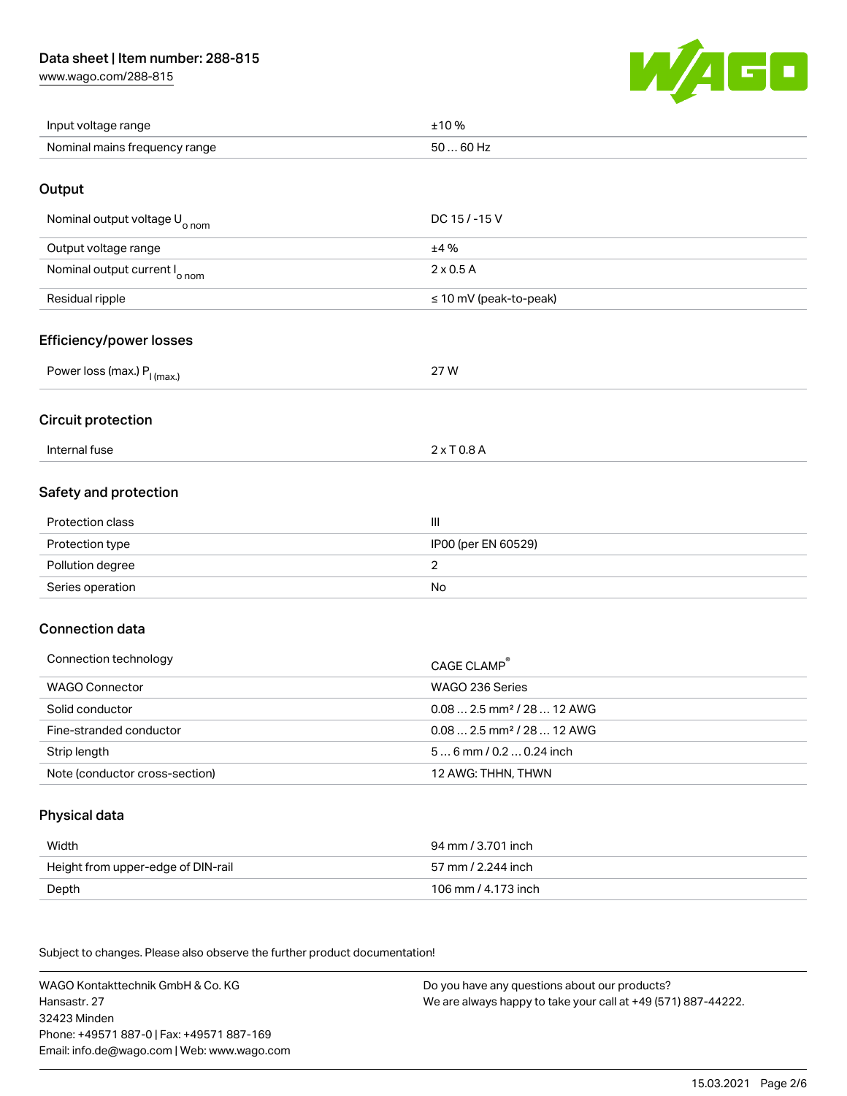# Data sheet | Item number: 288-815

[www.wago.com/288-815](http://www.wago.com/288-815)



| Input voltage range           | 10%                  |
|-------------------------------|----------------------|
| Nominal mains frequency range | 50.<br>$\dots$ 60 Hz |

#### **Output**

| DC $15/ - 15V$              |
|-----------------------------|
| ±4%                         |
| $2 \times 0.5$ A            |
| $\leq$ 10 mV (peak-to-peak) |
|                             |

#### Efficiency/power losses

| Power loss (max.).<br>I (max.) | 27 W<br>- |
|--------------------------------|-----------|
|                                |           |

#### Circuit protection

| lntern <i>∈</i><br>ernal tuse<br>. | $  -$<br>.<br>U.U.F |
|------------------------------------|---------------------|
|                                    |                     |

# Safety and protection

| Protection class | $\mathbf{III}$      |
|------------------|---------------------|
| Protection type  | IP00 (per EN 60529) |
| Pollution degree |                     |
| Series operation | No                  |

# Connection data

| Connection technology          | CAGE CLAMP <sup>®</sup>                |  |
|--------------------------------|----------------------------------------|--|
| WAGO Connector                 | WAGO 236 Series                        |  |
| Solid conductor                | $0.082.5$ mm <sup>2</sup> / 28  12 AWG |  |
| Fine-stranded conductor        | $0.082.5$ mm <sup>2</sup> / 28  12 AWG |  |
| Strip length                   | $56$ mm / 0.2 $$ 0.24 inch             |  |
| Note (conductor cross-section) | 12 AWG: THHN, THWN                     |  |

#### Physical data

| Width                              | 94 mm / 3.701 inch  |
|------------------------------------|---------------------|
| Height from upper-edge of DIN-rail | 57 mm / 2.244 inch  |
| Depth                              | 106 mm / 4.173 inch |

Subject to changes. Please also observe the further product documentation! Mechanical data

WAGO Kontakttechnik GmbH & Co. KG Hansastr. 27 32423 Minden Phone: +49571 887-0 | Fax: +49571 887-169 Email: info.de@wago.com | Web: www.wago.com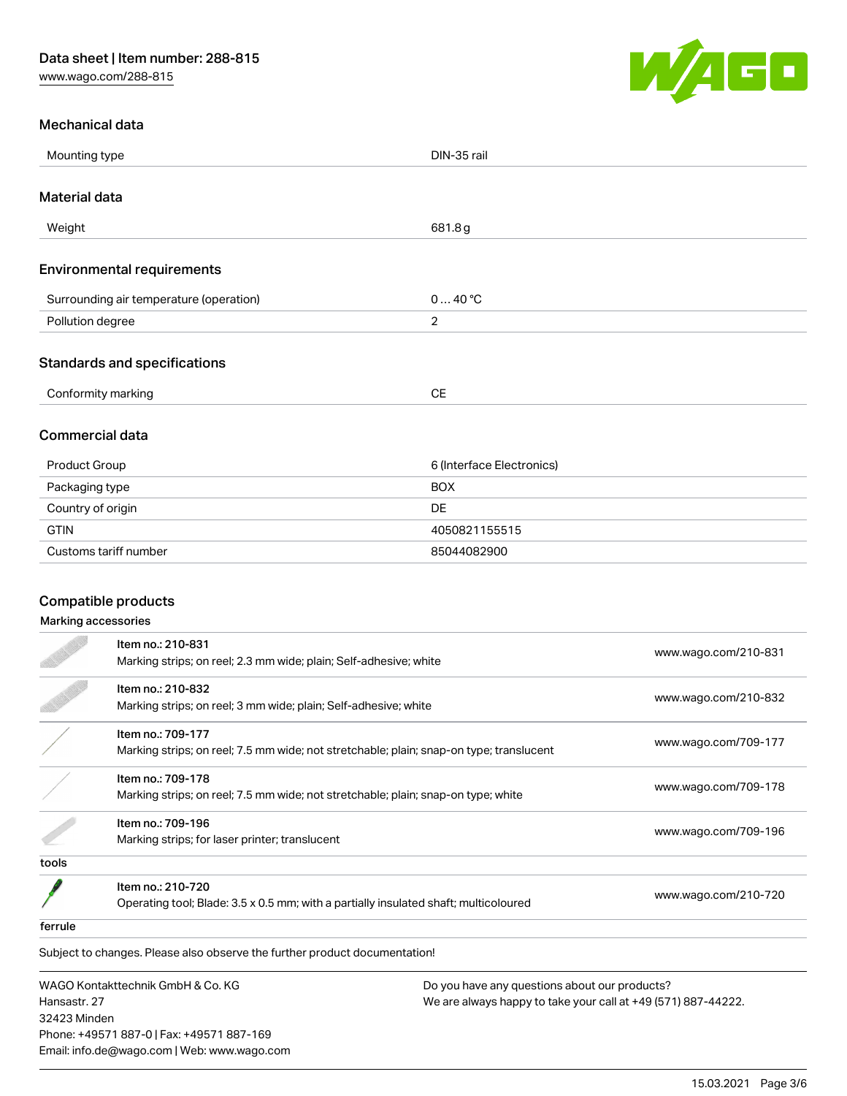

#### Mechanical data

|                        | Mounting type<br>DIN-35 rail                                                           |                           |                      |
|------------------------|----------------------------------------------------------------------------------------|---------------------------|----------------------|
| <b>Material data</b>   |                                                                                        |                           |                      |
| Weight                 |                                                                                        | 681.8g                    |                      |
|                        | <b>Environmental requirements</b>                                                      |                           |                      |
|                        | Surrounding air temperature (operation)                                                | 040 °C                    |                      |
| Pollution degree       |                                                                                        | $\overline{2}$            |                      |
|                        | <b>Standards and specifications</b>                                                    |                           |                      |
| Conformity marking     |                                                                                        | <b>CE</b>                 |                      |
| <b>Commercial data</b> |                                                                                        |                           |                      |
| Product Group          |                                                                                        | 6 (Interface Electronics) |                      |
| Packaging type         |                                                                                        | <b>BOX</b>                |                      |
| Country of origin      |                                                                                        | <b>DE</b>                 |                      |
| <b>GTIN</b>            |                                                                                        | 4050821155515             |                      |
|                        | Customs tariff number                                                                  | 85044082900               |                      |
|                        |                                                                                        |                           |                      |
| Compatible products    |                                                                                        |                           |                      |
| Marking accessories    |                                                                                        |                           |                      |
|                        | Item no.: 210-831<br>Marking strips; on reel; 2.3 mm wide; plain; Self-adhesive; white |                           | www.wago.com/210-831 |
|                        | Item no.: 210-832<br>Marking strips; on reel; 3 mm wide; plain; Self-adhesive; white   |                           | www.wago.com/210-832 |

Marking strips; on reel; 7.5 mm wide; not stretchable; plain; snap-on type; translucent [www.wago.com/709-177](http://www.wago.com/709-177)

Marking strips; on reel; 7.5 mm wide; not stretchable; plain; snap-on type; white [www.wago.com/709-178](http://www.wago.com/709-178)<br>Marking strips; on reel; 7.5 mm wide; not stretchable; plain; snap-on type; white

Marking strips; for laser printer; translucent [www.wago.com/709-196](http://www.wago.com/709-196)<br>Marking strips; for laser printer; translucent

tools

 $\frac{1}{1}$ 

Item no.: 210-720

Nettrition: 210.720<br>Operating tool; Blade: 3.5 x 0.5 mm; with a partially insulated shaft; multicoloured [www.wago.com/210-720](http://www.wago.com/210-720)

ferrule

Subject to changes. Please also observe the further product documentation!

WAGO Kontakttechnik GmbH & Co. KG Hansastr. 27 32423 Minden Phone: +49571 887-0 | Fax: +49571 887-169 Email: info.de@wago.com | Web: www.wago.com

Item no.: 709-177

Item no.: 709-178

Item no.: 709-196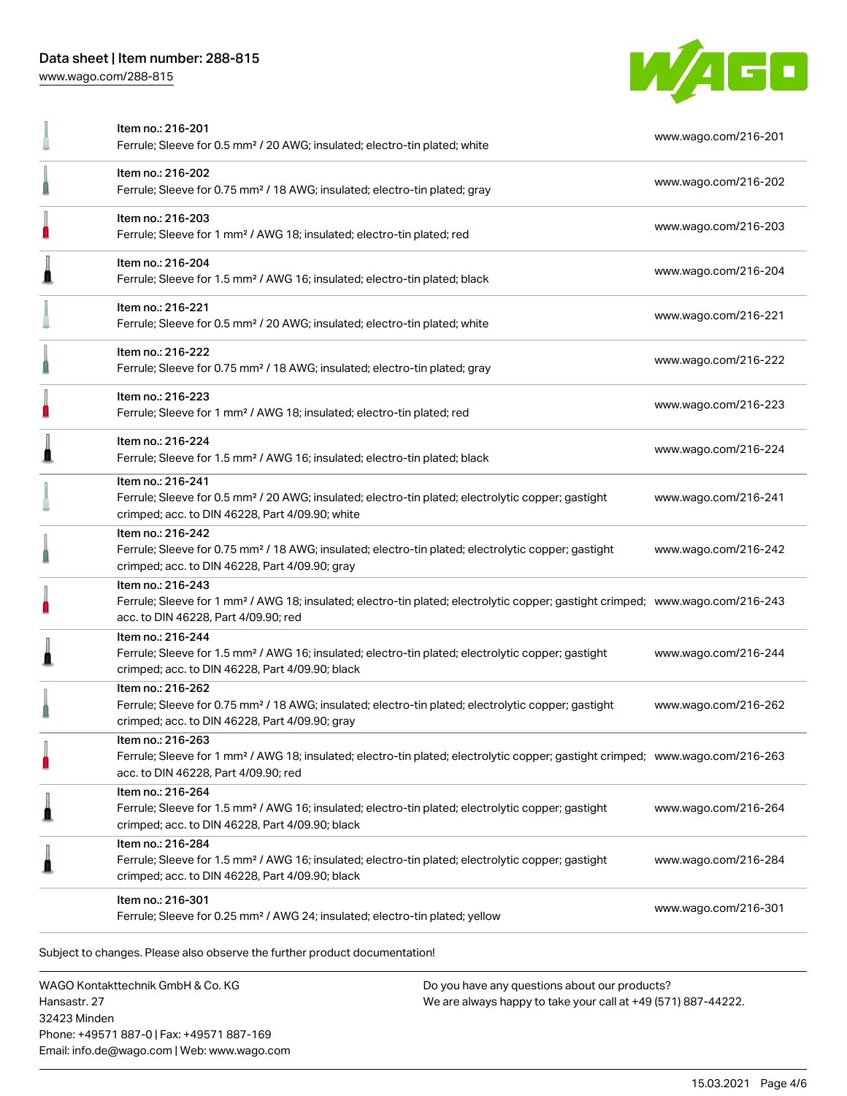

|   | Item no.: 216-201<br>Ferrule; Sleeve for 0.5 mm <sup>2</sup> / 20 AWG; insulated; electro-tin plated; white                                                                                             | www.wago.com/216-201 |
|---|---------------------------------------------------------------------------------------------------------------------------------------------------------------------------------------------------------|----------------------|
|   | Item no.: 216-202<br>Ferrule; Sleeve for 0.75 mm <sup>2</sup> / 18 AWG; insulated; electro-tin plated; gray                                                                                             | www.wago.com/216-202 |
| O | Item no.: 216-203<br>Ferrule; Sleeve for 1 mm <sup>2</sup> / AWG 18; insulated; electro-tin plated; red                                                                                                 | www.wago.com/216-203 |
| л | Item no.: 216-204<br>Ferrule; Sleeve for 1.5 mm <sup>2</sup> / AWG 16; insulated; electro-tin plated; black                                                                                             | www.wago.com/216-204 |
|   | Item no.: 216-221<br>Ferrule; Sleeve for 0.5 mm <sup>2</sup> / 20 AWG; insulated; electro-tin plated; white                                                                                             | www.wago.com/216-221 |
|   | Item no.: 216-222<br>Ferrule; Sleeve for 0.75 mm <sup>2</sup> / 18 AWG; insulated; electro-tin plated; gray                                                                                             | www.wago.com/216-222 |
| D | Item no.: 216-223<br>Ferrule; Sleeve for 1 mm <sup>2</sup> / AWG 18; insulated; electro-tin plated; red                                                                                                 | www.wago.com/216-223 |
|   | Item no.: 216-224<br>Ferrule; Sleeve for 1.5 mm <sup>2</sup> / AWG 16; insulated; electro-tin plated; black                                                                                             | www.wago.com/216-224 |
|   | Item no.: 216-241<br>Ferrule; Sleeve for 0.5 mm <sup>2</sup> / 20 AWG; insulated; electro-tin plated; electrolytic copper; gastight<br>crimped; acc. to DIN 46228, Part 4/09.90; white                  | www.wago.com/216-241 |
|   | Item no.: 216-242<br>Ferrule; Sleeve for 0.75 mm <sup>2</sup> / 18 AWG; insulated; electro-tin plated; electrolytic copper; gastight<br>crimped; acc. to DIN 46228, Part 4/09.90; gray                  | www.wago.com/216-242 |
|   | Item no.: 216-243<br>Ferrule; Sleeve for 1 mm <sup>2</sup> / AWG 18; insulated; electro-tin plated; electrolytic copper; gastight crimped; www.wago.com/216-243<br>acc. to DIN 46228, Part 4/09.90; red |                      |
| ≞ | Item no.: 216-244<br>Ferrule; Sleeve for 1.5 mm <sup>2</sup> / AWG 16; insulated; electro-tin plated; electrolytic copper; gastight<br>crimped; acc. to DIN 46228, Part 4/09.90; black                  | www.wago.com/216-244 |
|   | Item no.: 216-262<br>Ferrule; Sleeve for 0.75 mm <sup>2</sup> / 18 AWG; insulated; electro-tin plated; electrolytic copper; gastight<br>crimped; acc. to DIN 46228, Part 4/09.90; gray                  | www.wago.com/216-262 |
| O | Item no.: 216-263<br>Ferrule; Sleeve for 1 mm <sup>2</sup> / AWG 18; insulated; electro-tin plated; electrolytic copper; gastight crimped; www.wago.com/216-263<br>acc. to DIN 46228, Part 4/09.90; red |                      |
| 1 | Item no.: 216-264<br>Ferrule; Sleeve for 1.5 mm <sup>2</sup> / AWG 16; insulated; electro-tin plated; electrolytic copper; gastight<br>crimped; acc. to DIN 46228, Part 4/09.90; black                  | www.wago.com/216-264 |
|   | Item no.: 216-284<br>Ferrule; Sleeve for 1.5 mm <sup>2</sup> / AWG 16; insulated; electro-tin plated; electrolytic copper; gastight<br>crimped; acc. to DIN 46228, Part 4/09.90; black                  | www.wago.com/216-284 |
|   | Item no.: 216-301<br>Ferrule; Sleeve for 0.25 mm <sup>2</sup> / AWG 24; insulated; electro-tin plated; yellow                                                                                           | www.wago.com/216-301 |

WAGO Kontakttechnik GmbH & Co. KG Hansastr. 27 32423 Minden Phone: +49571 887-0 | Fax: +49571 887-169 Email: info.de@wago.com | Web: www.wago.com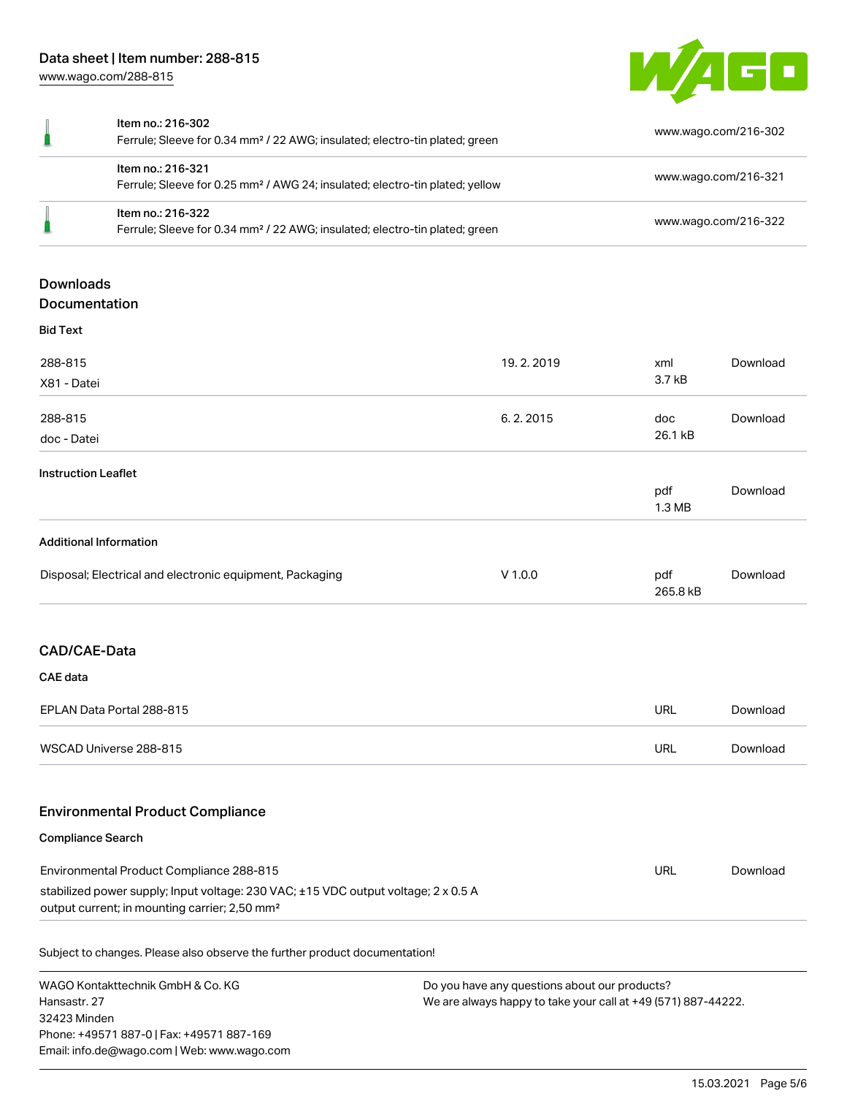

| Item no.: 216-302<br>Ferrule; Sleeve for 0.34 mm <sup>2</sup> / 22 AWG; insulated; electro-tin plated; green  | www.wago.com/216-302 |
|---------------------------------------------------------------------------------------------------------------|----------------------|
| ltem no.: 216-321<br>Ferrule; Sleeve for 0.25 mm <sup>2</sup> / AWG 24; insulated; electro-tin plated; yellow | www.wago.com/216-321 |
| Item no.: 216-322<br>Ferrule; Sleeve for 0.34 mm <sup>2</sup> / 22 AWG; insulated; electro-tin plated; green  | www.wago.com/216-322 |
|                                                                                                               |                      |

# **Downloads** Documentation

| <b>Bid Text</b>                                          |           |                 |          |
|----------------------------------------------------------|-----------|-----------------|----------|
| 288-815                                                  | 19.2.2019 | xml             | Download |
| X81 - Datei                                              |           | 3.7 kB          |          |
| 288-815                                                  | 6.2.2015  | doc             | Download |
| doc - Datei                                              |           | 26.1 kB         |          |
| <b>Instruction Leaflet</b>                               |           |                 |          |
|                                                          |           | pdf<br>1.3 MB   | Download |
| <b>Additional Information</b>                            |           |                 |          |
| Disposal; Electrical and electronic equipment, Packaging | $V$ 1.0.0 | pdf<br>265.8 kB | Download |
| CAD/CAE-Data                                             |           |                 |          |
| <b>CAE</b> data                                          |           |                 |          |
| EPLAN Data Portal 288-815                                |           | URL             | Download |
| WSCAD Universe 288-815                                   |           | URL             | Download |
|                                                          |           |                 |          |

# Environmental Product Compliance

| <b>Compliance Search</b> |  |
|--------------------------|--|
|                          |  |

| Environmental Product Compliance 288-815                                           | URL | Download |
|------------------------------------------------------------------------------------|-----|----------|
| stabilized power supply; Input voltage: 230 VAC; ±15 VDC output voltage; 2 x 0.5 A |     |          |
| output current; in mounting carrier; 2,50 mm <sup>2</sup>                          |     |          |

Subject to changes. Please also observe the further product documentation!

WAGO Kontakttechnik GmbH & Co. KG Hansastr. 27 32423 Minden Phone: +49571 887-0 | Fax: +49571 887-169 Email: info.de@wago.com | Web: www.wago.com